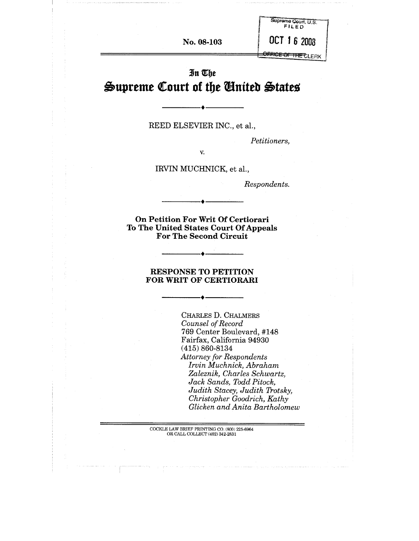**No. 08-103**

OFFICE OF THE CLERK

OCT 16 2008

Supreme Court, U.S.<br>FILED

# In The  $\triangle$ upreme Court of the **Anited** States

REED ELSEVIER INC., et al.,

*Petitioners,*

V.

IRVIN MUCHNICK, et al.,

*Respondents.*

**On Petition For Writ Of Certiorari To The United States Court Of Appeals For The Second Circuit**

#### **RESPONSE TO PETITION FOR WRIT OF CERTIORARI**

CHARLES D. CHALMERS *Counsel of Record* 769 Center Boulevard, #148 Fairfax, California 94930 (415) 860-8134 *Attorney for Respondents Irvin Muchnick, Abraham Zaleznik, Charles Schwartz, Jack Sands, Todd Pitock, Judith Stacey, Judith Trotsky, Christopher Goodrich, Kathy Glicken and Anita Bartholomew*

COCKLE LAW BRIEF PRINTING CO. (800) 225-6964 OR CALL COLLECT (402) 342-2831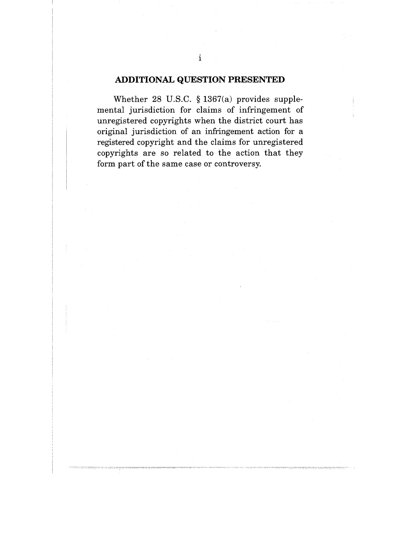### **ADDITIONAL QUESTION PRESENTED**

Whether 28 U.S.C. § 1367(a) provides supplemental jurisdiction for claims of infringement of unregistered copyrights when the district court has original jurisdiction of an infringement action for a registered copyright and the claims for unregistered copyrights are so related to the action that they form part of the same case or controversy.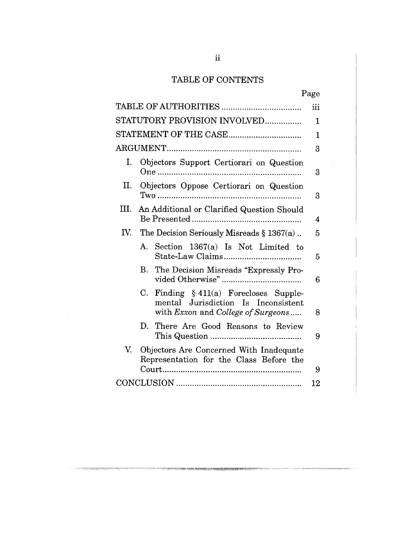# TABLE OF CONTENTS

|                              |                                                 |                                                                                      | Page   |  |
|------------------------------|-------------------------------------------------|--------------------------------------------------------------------------------------|--------|--|
|                              |                                                 |                                                                                      |        |  |
| STATUTORY PROVISION INVOLVED |                                                 |                                                                                      |        |  |
|                              |                                                 |                                                                                      |        |  |
|                              |                                                 |                                                                                      | 3      |  |
| Ι.                           | Objectors Support Certiorari on Question<br>One |                                                                                      |        |  |
| II.                          | Objectors Oppose Certiorari on Question         |                                                                                      |        |  |
| III.                         |                                                 | An Additional or Clarified Question Should                                           | 4      |  |
| IV.                          |                                                 | The Decision Seriously Misreads $\S 1367(a)$ .                                       | 5      |  |
|                              |                                                 | A. Section 1367(a) Is Not Limited to                                                 | 5      |  |
|                              | $\mathbf{B}$                                    | The Decision Misreads "Expressly Pro-                                                | 6      |  |
|                              | C.                                              | Finding $\S$ 411(a) Forecloses Supple-<br>mental Jurisdiction Is Inconsistent        |        |  |
|                              | D.                                              | with <i>Exxon</i> and <i>College of Surgeons</i><br>There Are Good Reasons to Review | 8<br>9 |  |
| $V_{\cdot}$                  |                                                 | Objectors Are Concerned With Inadequate<br>Representation for the Class Before the   |        |  |
|                              |                                                 |                                                                                      |        |  |
|                              |                                                 |                                                                                      |        |  |

.<br>Premieranje pri premieranje premieranje pri premieranje premieranje premieranje premieranje premieranje premie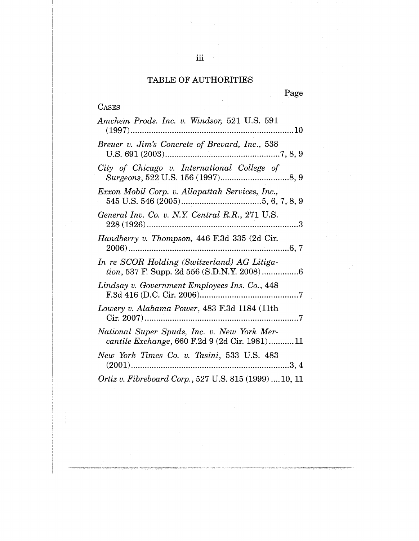# TABLE OF AUTHORITIES

|--|--|

| <b>CASES</b>                                                                                 |
|----------------------------------------------------------------------------------------------|
| Amchem Prods. Inc. v. Windsor, 521 U.S. 591                                                  |
| Breuer v. Jim's Concrete of Brevard, Inc., 538                                               |
| City of Chicago v. International College of                                                  |
| Exxon Mobil Corp. v. Allapattah Services, Inc.,                                              |
| General Inv. Co. v. N.Y. Central R.R., 271 U.S.                                              |
| Handberry v. Thompson, 446 F.3d 335 (2d Cir.                                                 |
| In re SCOR Holding (Switzerland) AG Litiga-                                                  |
| Lindsay v. Government Employees Ins. Co., 448                                                |
| Lowery v. Alabama Power, 483 F.3d 1184 (11th                                                 |
| National Super Spuds, Inc. v. New York Mer-<br>cantile Exchange, 660 F.2d 9 (2d Cir. 1981)11 |
| New York Times Co. v. Tasini, 533 U.S. 483                                                   |
| Ortiz v. Fibreboard Corp., 527 U.S. 815 (1999)  10, 11                                       |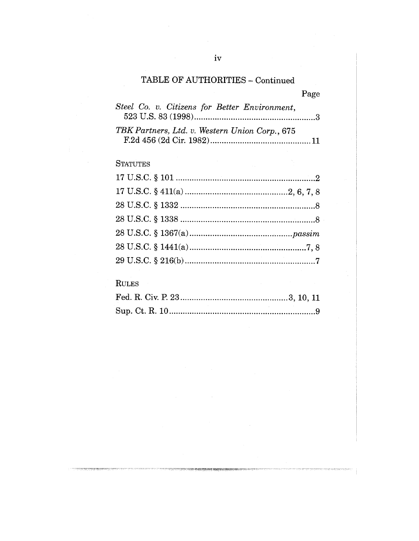# TABLE OF AUTHORITIES - Continued

Page

| Steel Co. v. Citizens for Better Environment,  |  |
|------------------------------------------------|--|
| TBK Partners, Ltd. v. Western Union Corp., 675 |  |

# **STATUTES**

# **RULES**

ng segunakan spasisipe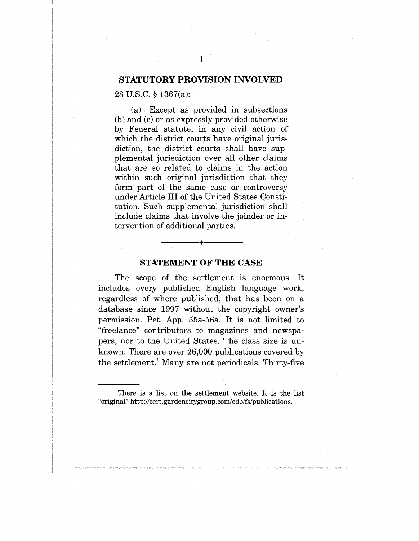#### **STATUTORY PROVISION INVOLVED**

#### 28 U.S.C. § 1367(a):

(a) Except as provided in subsections (b) and (c) or as expressly provided otherwise by Federal statute, in any civil action of which the district courts have original jurisdiction, the district courts shall have supplemental jurisdiction over all other claims that are so related to claims in the action within such original jurisdiction that they form part of the same case or controversy under Article III of the United States Constitution. Such supplemental jurisdiction shall include claims that involve the joinder or intervention of additional parties.

#### **STATEMENT OF THE CASE**

The scope of the settlement is enormous. It includes every published English language work, regardless of where published, that has been on a database since 1997 without the copyright owner's permission. Pet. App. 55a-56a. It is not limited to "freelance" contributors to magazines and newspapers, nor to the United States. The class size is unknown. There are over 26,000 publications covered by the settlement.<sup>1</sup> Many are not periodicals. Thirty-five

 $1$  There is a list on the settlement website. It is the list "original" http://cert.gardencitygroup.com/edb/fs/publications.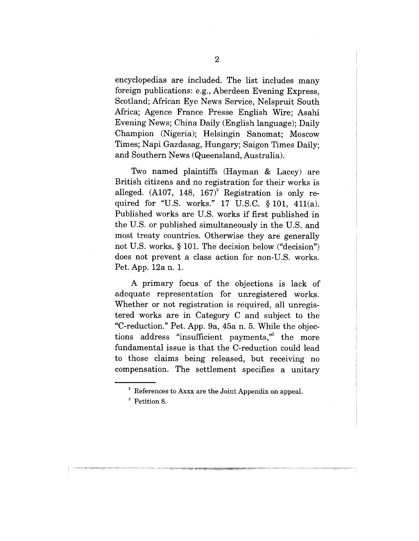encyclopedias are included. The list includes many foreign publications: e.g., Aberdeen Evening Express, Scotland; African Eye News Service, Nelspruit South Africa; Agence France Presse English Wire; Asahi Evening News; China Daily (English language); Daily Champion (Nigeria); Helsingin Sanomat; Moscow Times; Napi Gazdasag, Hungary; Saigon Times Daily; and Southern News (Queensland, Australia).

Two named plaintiffs (Hayman & Lacey) are British citizens and no registration for their works is alleged.  $(A107, 148, 167)^2$  Registration is only required for "U.S. works." 17 U.S.C. § 101, 411(a). Published works are U.S. works if first published in the U.S. or published simultaneously in the U.S. and most treaty countries. Otherwise they are generally not U.S. works. § 101. The decision below ("decision") does not prevent a class action for non-U.S. works. Pet. App. 12a n. 1.

A primary focus of the objections is lack of adequate representation for unregistered works. Whether or not registration is required, all unregistered works are in Category C and subject to the "C-reduction." Pet. App. 9a, 45a n. 5. While the objections address "insufficient payments," the more fundamental issue is that the C-reduction could lead to those claims being released, but receiving no compensation. The settlement specifies a unitary

 $2^{\circ}$  References to Axxx are the Joint Appendix on appeal.

<sup>&</sup>lt;sup>3</sup> Petition 8.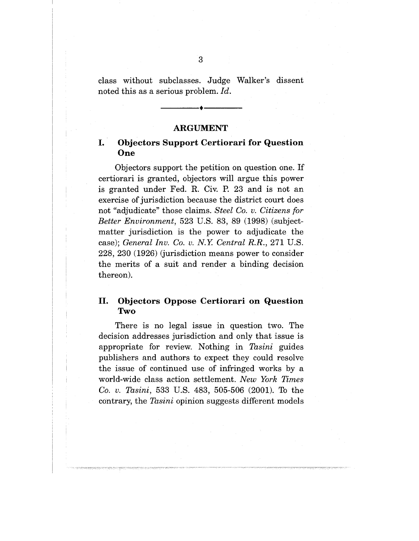class without subclasses. Judge Walker's dissent noted this as a serious problem. *Id.*

#### **ARGUMENT**

### **I. Objectors Support Certiorari for Question One**

Objectors support the petition on question one. If certiorari is granted, objectors will argue this power is granted under Fed. R. Civ. P. 23 and is not an exercise of jurisdiction because the district court does not "adjudicate" those claims. *Steel Co. v. Citizens for Better Environment,* 523 U.S. 83, 89 (1998) (subjectmatter jurisdiction is the power to adjudicate the case); *General Inv. Co. v. N.Y. Central R.R.,* 271 U.S. 228, 230 (1926) (jurisdiction means power to consider the merits of a suit and render a binding decision thereon).

### **II. Objectors Oppose Certiorari on Question** Two

There is no legal issue in question two. The decision addresses jurisdiction and only that issue is appropriate for review. Nothing in *Tasini* guides publishers and authors to expect they could resolve the issue of continued use of infringed works by a world-wide class action settlement. *New York Times Co. v. Tasini,* 533 U.S. 483, 505-506 (2001). To the contrary, the *Tasini* opinion suggests different models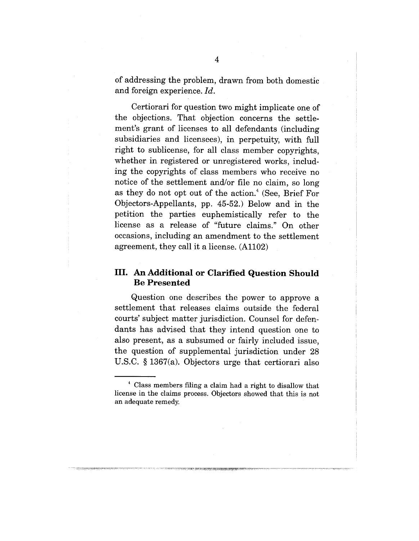of addressing the problem, drawn from both domestic and foreign experience. *Id.*

Certiorari for question two might implicate one of the objections. That objection concerns the settlement's grant of licenses to all defendants (including subsidiaries and licensees), in perpetuity, with full right to sublicense, for all class member copyrights, whether in registered or unregistered works, including the copyrights of class members who receive no notice of the settlement and/or file no claim, so long as they do not opt out of the action.<sup>4</sup> (See, Brief For Objectors-Appellants, pp. 45-52.) Below and in the petition the parties euphemistically refer to the license as a release of "future claims." On other occasions, including an amendment to the settlement agreement, they call it a license. (Al102)

### **III. An Additional or Clarified Question Should Be Presented**

Question one describes the power to approve a settlement that releases claims outside the federal courts' subject matter jurisdiction. Counsel for defendants has advised that they intend question one to also present, as a subsumed or fairly included issue, the question of supplemental jurisdiction under 28 U.S.C. § 1367(a). Objectors urge that certiorari also

 $t^4$  Class members filing a claim had a right to disallow that license in the claims process. Objectors showed that this is not an adequate remedy.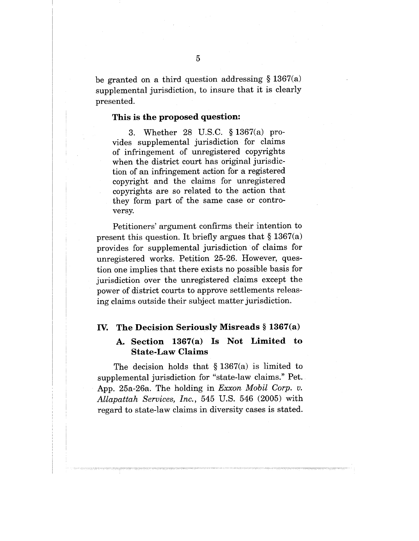be granted on a third question addressing  $\S 1367(a)$ supplemental jurisdiction, to insure that it is clearly presented.

#### **This is the proposed question:**

3. Whether 28 U.S.C. § 1367(a) provides supplemental jurisdiction for claims of infringement of unregistered copyrights when the district court has original jurisdiction of an infringement action for a registered copyright and the claims for unregistered copyrights are so related to the action that they form part of the same case or controversy.

Petitioners' argument confirms their intention to present this question. It briefly argues that  $\S 1367(a)$ provides for supplemental jurisdiction of claims for unregistered works. Petition 25-26. However, question one implies that there exists no possible basis for jurisdiction over the unregistered claims except the power of district courts to approve settlements releasing claims outside their subject matter jurisdiction.

#### **IV. The Decision Seriously Misreads § 1367(a)**

### **A. Section 1367(a) Is Not Limited to State-Law Claims**

The decision holds that  $\S 1367(a)$  is limited to supplemental jurisdiction for "state-law claims." Pet. App. 25a-26a. The holding in *Exxon Mobil Corp. v. Allapattah Services, Inc.,* 545 U.S. 546 (2005) with regard to state-law claims in diversity cases is stated.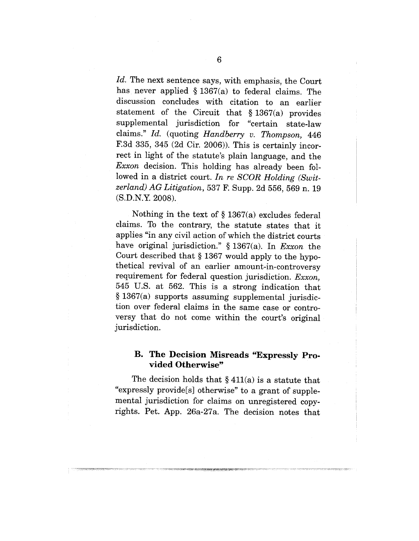*Id.* The next sentence says, with emphasis, the Court has never applied § 1367(a) to federal claims. The discussion concludes with citation to an earlier statement of the Circuit that § 1367(a) provides supplemental jurisdiction for "certain state-law claims." *Id.* (quoting *Handberry v. Thompson,* 446 F.3d 335, 345 (2d Cir. 2006)). This is certainly incorrect in light of the statute's plain language, and the *Exxon* decision. This holding has already been followed in a district court. *In re SCOR Holding (Switzerland) AG Litigation,* 537 F. Supp. 2d 556, 569 n. 19 (S.D.N.Y. 2008).

Nothing in the text of  $\S 1367(a)$  excludes federal claims. To the contrary, the statute states that it applies "in any civil action of which the district courts have original jurisdiction." § 1367(a). In *Exxon* the Court described that § 1367 would apply to the hypothetical revival of an earlier amount-in-controversy requirement for federal question jurisdiction. *Exxon,* 545 U.S. at 562. This is a strong indication that § 1367(a) supports assuming supplemental jurisdiction over federal claims in the same case or controversy that do not come within the court's original jurisdiction.

### **B. The Decision Misreads "Expressly Provided Otherwise"**

The decision holds that  $\S 411(a)$  is a statute that "expressly provide[s] otherwise" to a grant of supplemental jurisdiction for claims on unregistered copyrights. Pet. App. 26a-27a. The decision notes that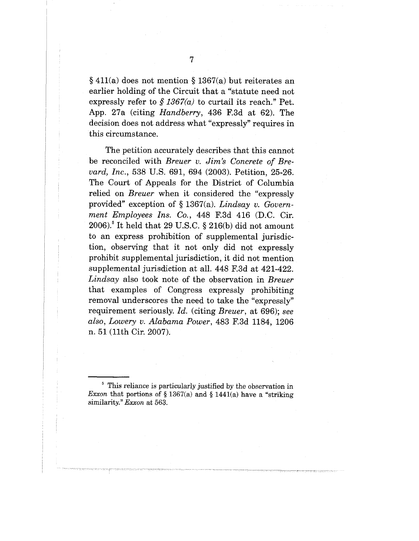§ 411(a) does not mention § 1367(a) but reiterates an earlier holding of the Circuit that a "statute need not expressly refer to  $\frac{6}{5}$  1367(a) to curtail its reach." Pet. App. 27a (citing *Handberry,* 436 F.3d at 62). The decision does not address what "expressly" requires in this circumstance.

The petition accurately describes that this cannot be reconciled with *Breuer v. Jim's Concrete of Breyard, Inc.,* 538 U.S. 691, 694 (2003). Petition, 25-26. The Court of Appeals for the District of Columbia relied on *Breuer* when it considered the "expressly provided" exception of § 1367(a). *Lindsay v. Government Employees Ins. Co.,* 448 F.3d 416 (D.C. Cir.  $2006$ .<sup>5</sup> It held that 29 U.S.C. § 216(b) did not amount to an express prohibition of supplemental jurisdiction, observing that it not only did not expressly prohibit supplemental jurisdiction, it did not mention supplemental jurisdiction at all. 448 F.3d at 421-422. *Lindsay* also took note of the observation in *Breuer* that examples of Congress expressly prohibiting removal underscores the need to take the "expressly" requirement seriously. *Id.* (citing *Breuer,* at 696); *see also, Lowery v. Alabama Power,* 483 F.3d 1184, 1206 n. 51 (llth Cir. 2007).

<sup>&</sup>lt;sup>5</sup> This reliance is particularly justified by the observation in *Exxon* that portions of  $\S 1367(a)$  and  $\S 1441(a)$  have a "striking similarity." *Exxon* at 563.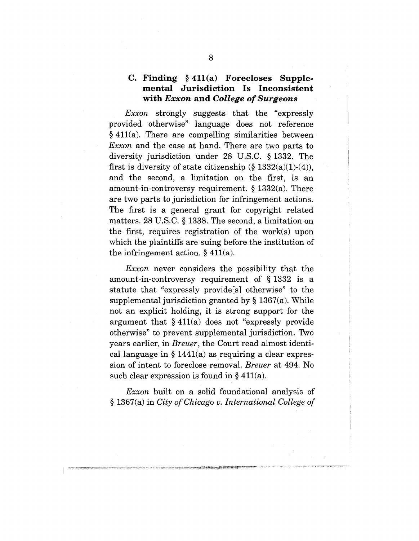### **C. Finding §411(a) Forecloses Supplemental Jurisdiction Is Inconsistent with** *Exxon* **and** *College of Surgeons*

*Exxon* strongly suggests that the "expressly provided otherwise" language does not reference  $§$  411(a). There are compelling similarities between *Exxon* and the case at hand. There are two parts to diversity jurisdiction under 28 U.S.C. § 1332. The first is diversity of state citizenship  $(\S 1332(a)(1)-(4))$ , and the second, a limitation on the first, is an amount-in-controversy requirement. § 1332(a). There are two parts to jurisdiction for infringement actions. The first is a general grant for copyright related matters. 28 U.S.C. § 1338. The second, a limitation on the first, requires registration of the work(s) upon which the plaintiffs are suing before the institution of the infringement action. § 411(a).

*Exxon* never considers the possibility that the amount-in-controversy requirement of § 1332 is a statute that "expressly provide[s] otherwise" to the supplemental jurisdiction granted by § 1367(a). While not an explicit holding, it is strong support for the argument that  $§$  411(a) does not "expressly provide otherwise" to prevent supplemental jurisdiction. Two years earlier, in *Breuer,* the Court read almost identical language in  $\S 1441(a)$  as requiring a clear expression of intent to foreclose removal. *Breuer* at 494. No such clear expression is found in  $\S 411(a)$ .

*Exxon* built on a solid foundational analysis of § 1367(a) in *City of Chicago v. International College of*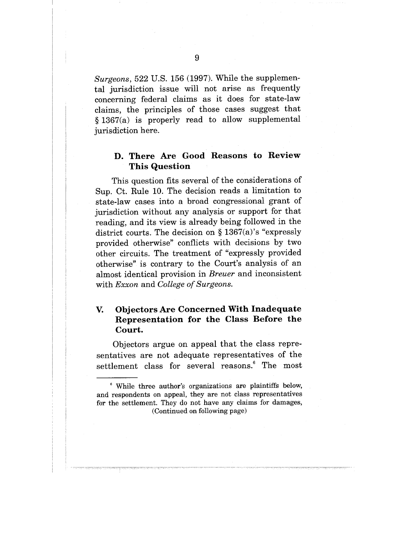*Surgeons,* 522 U.S. 156 (1997). While the supplemental jurisdiction issue will not arise as frequently concerning federal claims as it does for state-law claims, the principles of those cases suggest that § 1367(a) is properly read to allow supplemental jurisdiction here.

### **D. There Are Good Reasons to Review This Question**

This question fits several of the considerations of Sup. Ct. Rule 10. The decision reads a limitation to state-law cases into a broad congressional grant of jurisdiction without any analysis or support for that reading, and its view is already being followed in the district courts. The decision on § 1367(a)'s "expressly provided otherwise" conflicts with decisions by two other circuits. The treatment of "expressly provided otherwise" is contrary to the Court's analysis of an almost identical provision in *Breuer* and inconsistent with *Exxon* and *College of Surgeons.*

#### V. **Objectors Are Concerned With Inadequate Representation for the Class Before the Court.**

Objectors argue on appeal that the class representatives are not adequate representatives of the settlement class for several reasons.<sup>6</sup> The most

<sup>6</sup> While three author's organizations are plaintiffs below, and respondents on appeal, they are not class representatives for the settlement. They do not have any claims for damages, (Continued on following page)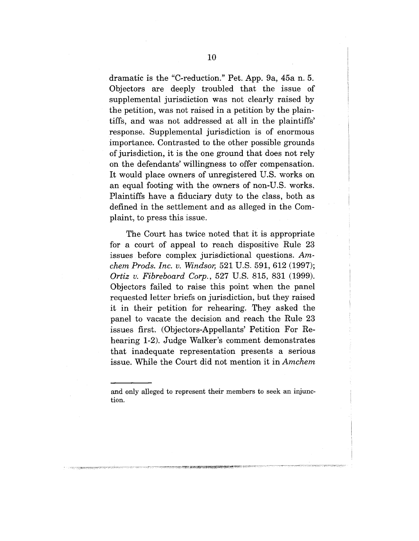dramatic is the "C-reduction." Pet. App. 9a, 45a n. 5. Objectors are deeply troubled that the issue of supplemental jurisdiction was not clearly raised by the petition, was not raised in a petition by the plaintiffs, and was not addressed at all in the plaintiffs' response. Supplemental jurisdiction is of enormous importance. Contrasted to the other possible grounds of jurisdiction, it is the one ground that does not rely on the defendants' willingness to offer compensation. It would place owners of unregistered U.S. works on an equal footing with the owners of non-U.S, works. Plaintiffs have a fiduciary duty to the class, both as defined in the settlement and as alleged in the Complaint, to press this issue.

The Court has twice noted that it is appropriate for a court of appeal to reach dispositive Rule 23 issues before complex jurisdictional questions. *Amchem Prods. Inc. v. Windsor,* 521 U.S. 591, 612 (1997); *Ortiz v: Fibreboard Corp.,* 527 U.S. 815, 831 (1999). Objectors failed to raise this point when the panel requested letter briefs on jurisdiction, but they raised it in their petition for rehearing. They asked the panel to vacate the decision and reach the Rule 23 issues first. (Objectors-Appellants' Petition For Rehearing 1-2). Judge Walker's comment demonstrates that inadequate representation presents a serious issue. While the Court did not mention it in *Amchem*

and only alleged to represent their members to seek an injunction.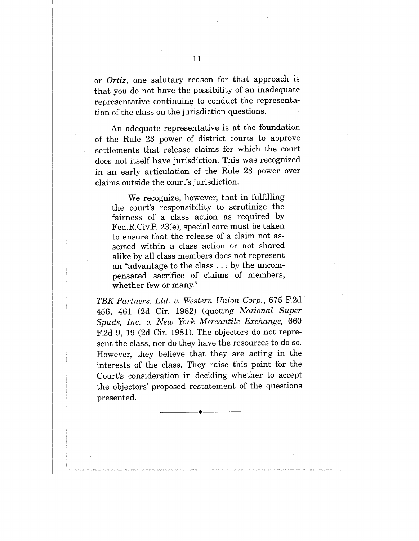or *Ortiz,* one salutary reason for that approach is that you do not have the possibility of an inadequate representative continuing to conduct the representation of the class on the jurisdiction questions.

An adequate representative is at the foundation of the Rule 23 power of district courts to approve settlements that release claims for which the court does not itself have jurisdiction. This was recognized in an early articulation of the Rule 23 power over claims outside the court's jurisdiction.

We recognize, however, that in fulfilling the court's responsibility to scrutinize the fairness of a class action as required by Fed.R.Civ.P. 23(e), special care must be taken to ensure that the release of a claim not asserted within a class action or not shared alike by all class members does not represent an "advantage to the class.., by the uncompensated sacrifice of claims of members, whether few or many."

*TBK Partners, Ltd. v. Western Union Corp.,* 675 F.2d 456, 461 (2d Cir. 1982) (quoting *National Super Spuds, Inc. v. New York Mercantile Exchange,* 660 F.2d 9, 19 (2d Cir. 1981). The objectors do not represent the class, nor do they have the resources to do so. However, they believe that they are acting in the interests of the class. They raise this point for the Court's consideration in deciding whether to accept the objectors' proposed restatement of the questions presented.